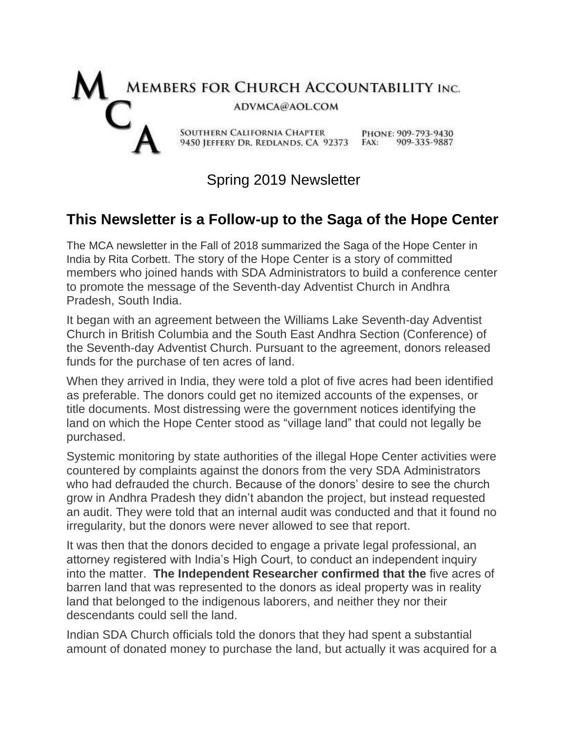

## Spring 2019 Newsletter

## **This Newsletter is a Follow-up to the Saga of the Hope Center**

The MCA newsletter in the Fall of 2018 summarized the Saga of the Hope Center in India by Rita Corbett. The story of the Hope Center is a story of committed members who joined hands with SDA Administrators to build a conference center to promote the message of the Seventh-day Adventist Church in Andhra Pradesh, South India.

It began with an agreement between the Williams Lake Seventh-day Adventist Church in British Columbia and the South East Andhra Section (Conference) of the Seventh-day Adventist Church. Pursuant to the agreement, donors released funds for the purchase of ten acres of land.

When they arrived in India, they were told a plot of five acres had been identified as preferable. The donors could get no itemized accounts of the expenses, or title documents. Most distressing were the government notices identifying the land on which the Hope Center stood as "village land" that could not legally be purchased.

Systemic monitoring by state authorities of the illegal Hope Center activities were countered by complaints against the donors from the very SDA Administrators who had defrauded the church. Because of the donors' desire to see the church grow in Andhra Pradesh they didn't abandon the project, but instead requested an audit. They were told that an internal audit was conducted and that it found no irregularity, but the donors were never allowed to see that report.

It was then that the donors decided to engage a private legal professional, an attorney registered with India's High Court, to conduct an independent inquiry into the matter. **The Independent Researcher confirmed that the** five acres of barren land that was represented to the donors as ideal property was in reality land that belonged to the indigenous laborers, and neither they nor their descendants could sell the land.

Indian SDA Church officials told the donors that they had spent a substantial amount of donated money to purchase the land, but actually it was acquired for a